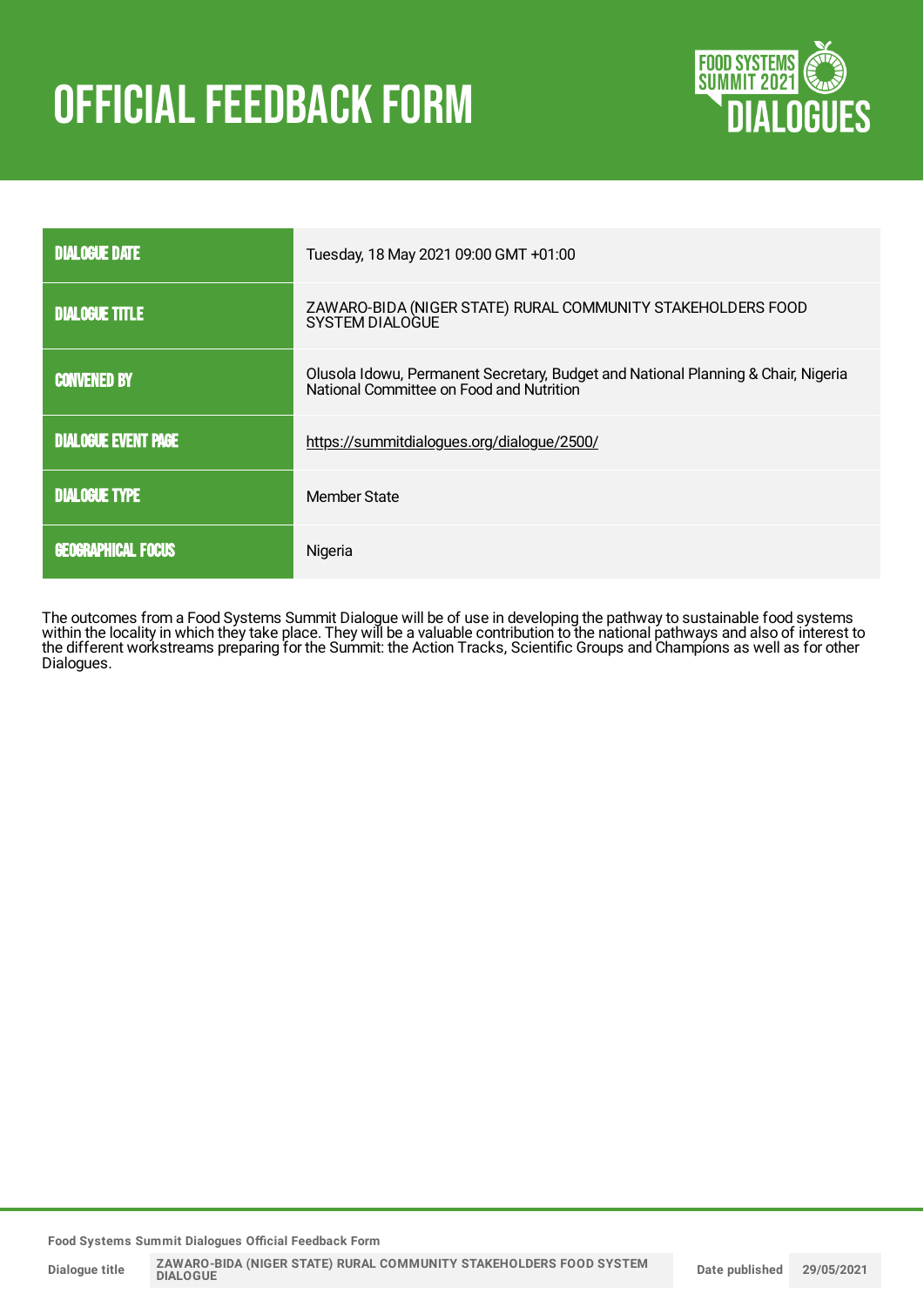# **OFFICIAL FEEDBACK FORM**



| <b>DIALOGUE DATE</b>       | Tuesday, 18 May 2021 09:00 GMT +01:00                                                                                         |
|----------------------------|-------------------------------------------------------------------------------------------------------------------------------|
| <b>DIALOGUE TITLE</b>      | ZAWARO-BIDA (NIGER STATE) RURAL COMMUNITY STAKEHOLDERS FOOD<br>SYSTEM DIALOGUE                                                |
| <b>CONVENED BY</b>         | Olusola Idowu, Permanent Secretary, Budget and National Planning & Chair, Nigeria<br>National Committee on Food and Nutrition |
| <b>DIALOGUE EVENT PAGE</b> | https://summitdialogues.org/dialogue/2500/                                                                                    |
| <b>DIALOGUE TYPE</b>       | Member State                                                                                                                  |
| <b>GEOGRAPHICAL FOCUS</b>  | Nigeria                                                                                                                       |

The outcomes from a Food Systems Summit Dialogue will be of use in developing the pathway to sustainable food systems within the locality in which they take place. They will be a valuable contribution to the national pathways and also of interest to the different workstreams preparing for the Summit: the Action Tracks, Scientific Groups and Champions as well as for other Dialogues.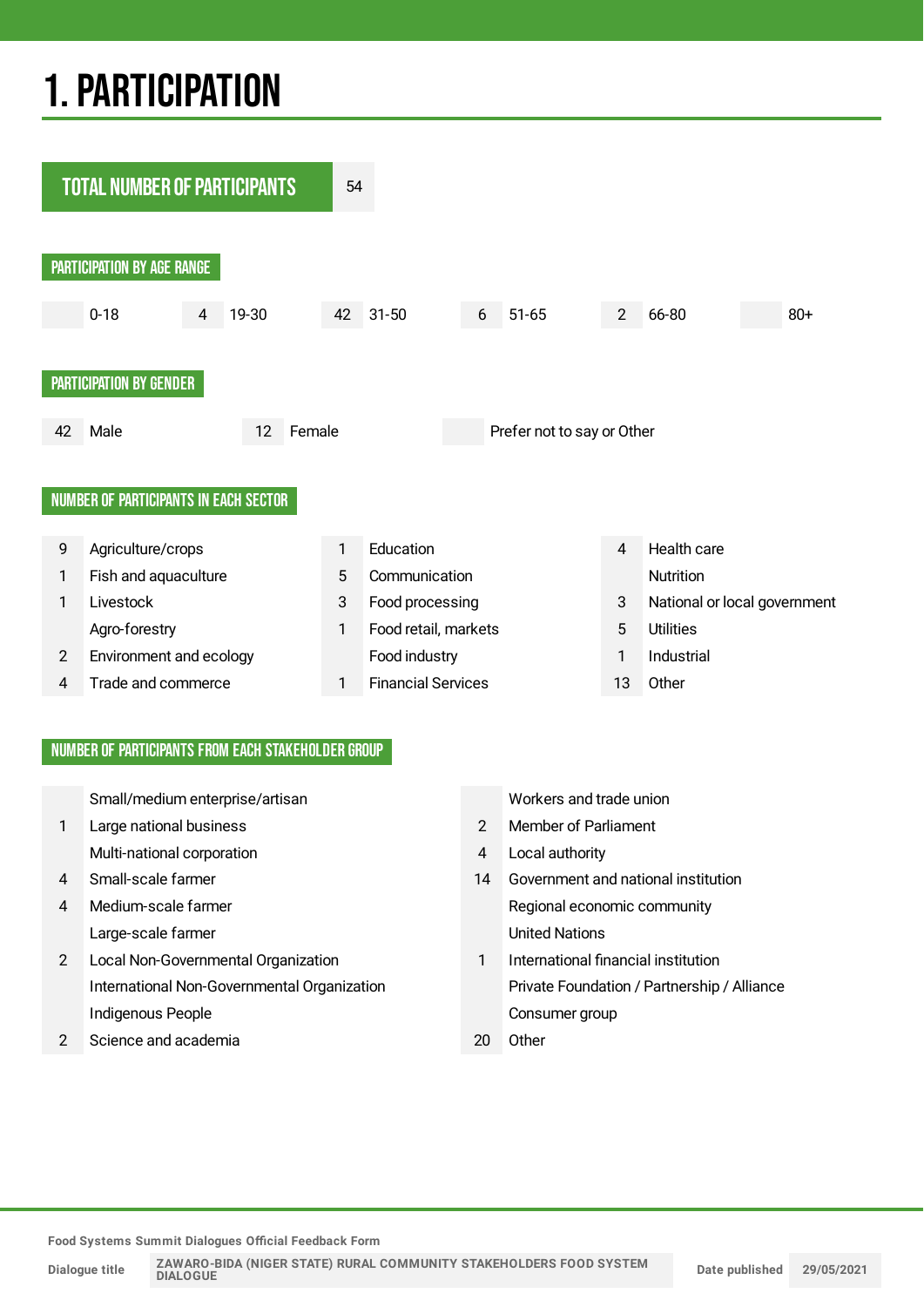## 1.PARTICIPATION



#### NUMBER OF PARTICIPANTS FROM EACH STAKEHOLDER GROUP

Small/medium enterprise/artisan Workers and trade union

- 1 Large national business 2 Member of Parliament Multi-national corporation and the state of the state of the Multi-national corporation
- 
- Large-scale farmer and the United Nations
- 2 Local Non-Governmental Organization 1 International financial institution Indigenous People **Consumer group**
- 2 Science and academia 20 Other

- 
- 
- 4 Small-scale farmer 14 Government and national institution 4 Medium-scale farmer and the state of the Regional economic community
	- International Non-Governmental Organization Private Foundation / Partnership / Alliance
		-

**Food Systems Summit Dialogues Official Feedback Form**

**Dialogue title**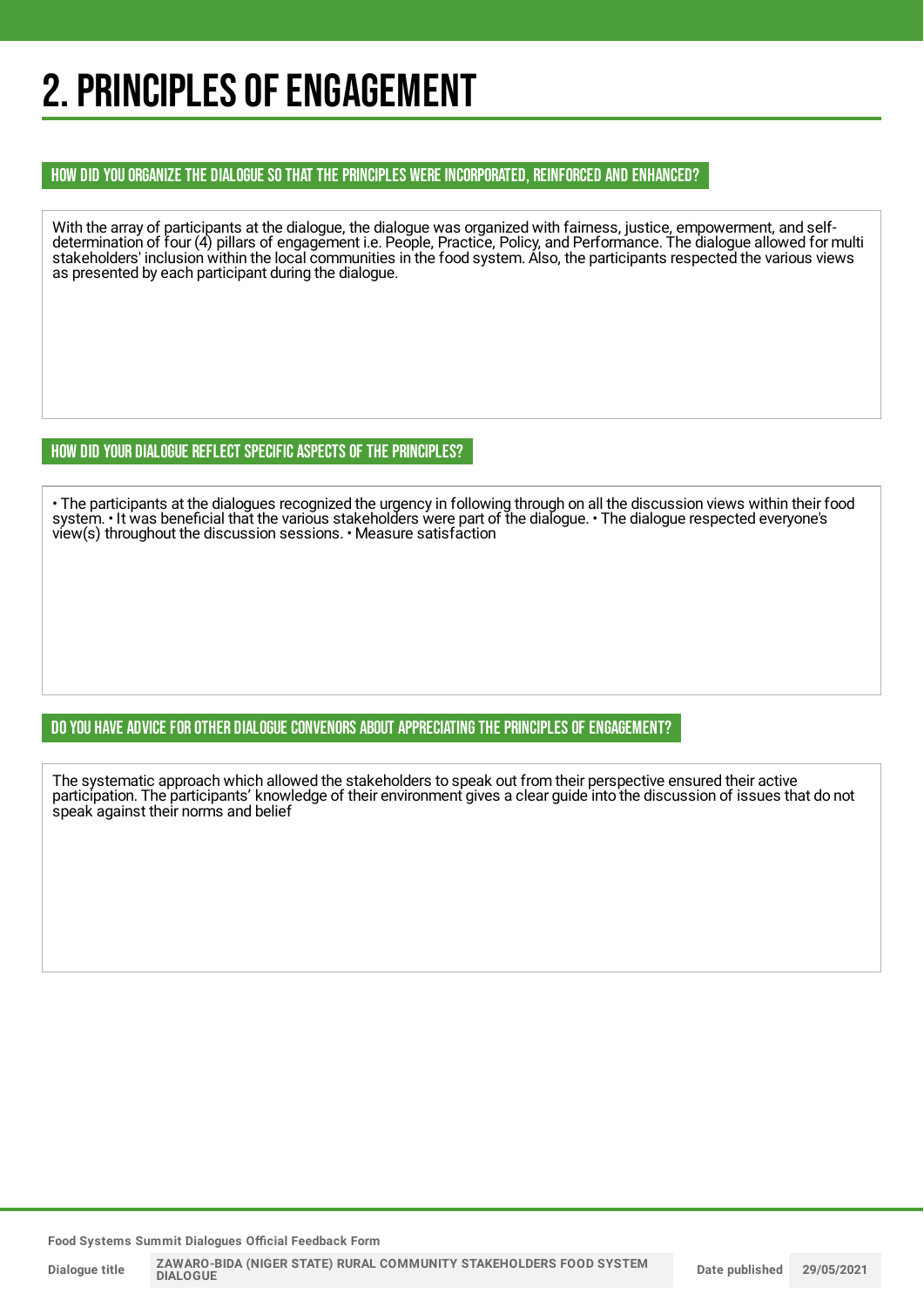## 2. PRINCIPLES OF ENGAGEMENT

#### HOW DID YOU ORGANIZE THE DIALOGUE SO THAT THE PRINCIPLES WERE INCORPORATED, REINFORCED AND ENHANCED?

With the array of participants at the dialogue, the dialogue was organized with fairness, justice, empowerment, and selfdetermination of four (4) pillars of engagement i.e. People, Practice, Policy, and Performance. The dialogue allowed for multi stakeholders' inclusion within the local communities in the food system. Also, the participants respected the various views as presented by each participant during the dialogue.

HOW DID YOUR DIALOGUE REFLECT SPECIFIC ASPECTS OF THE PRINCIPLES?

• The participants at the dialogues recognized the urgency in following through on all the discussion views within their food system. • It was beneficial that the various stakeholders were part of the dialogue. • The dialogue respected everyone's view(s) throughout the discussion sessions. • Measure satisfaction

#### DO YOU HAVE ADVICE FOR OTHER DIALOGUE CONVENORS ABOUT APPRECIATING THE PRINCIPLES OF ENGAGEMENT?

The systematic approach which allowed the stakeholders to speak out from their perspective ensured their active participation. The participants' knowledge of their environment gives a clear guide into the discussion of issues that do not speak against their norms and belief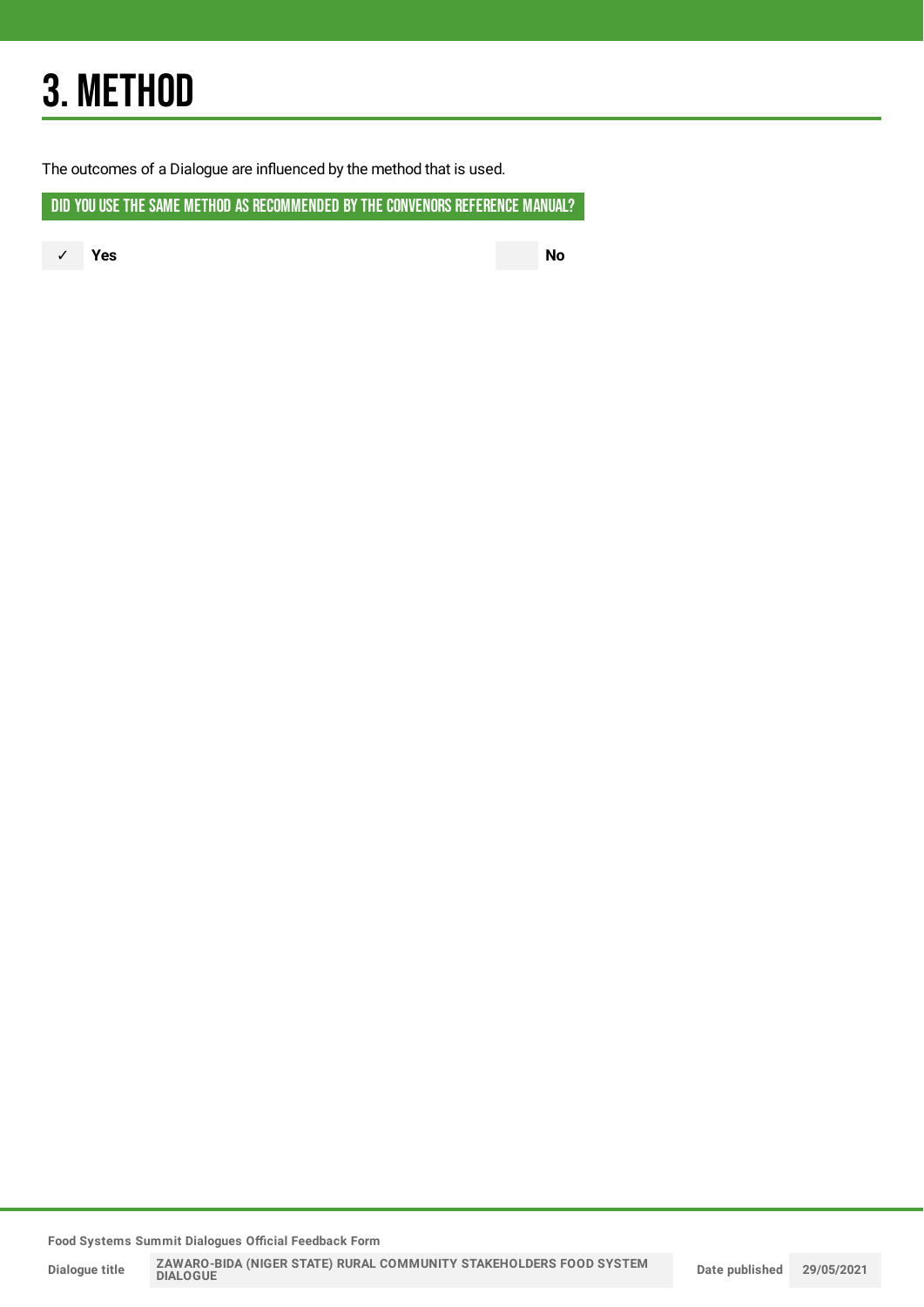## 3. METHOD

The outcomes of a Dialogue are influenced by the method that is used.

DID YOU USE THE SAME METHOD AS RECOMMENDED BY THE CONVENORS REFERENCE MANUAL?

✓ **Yes No**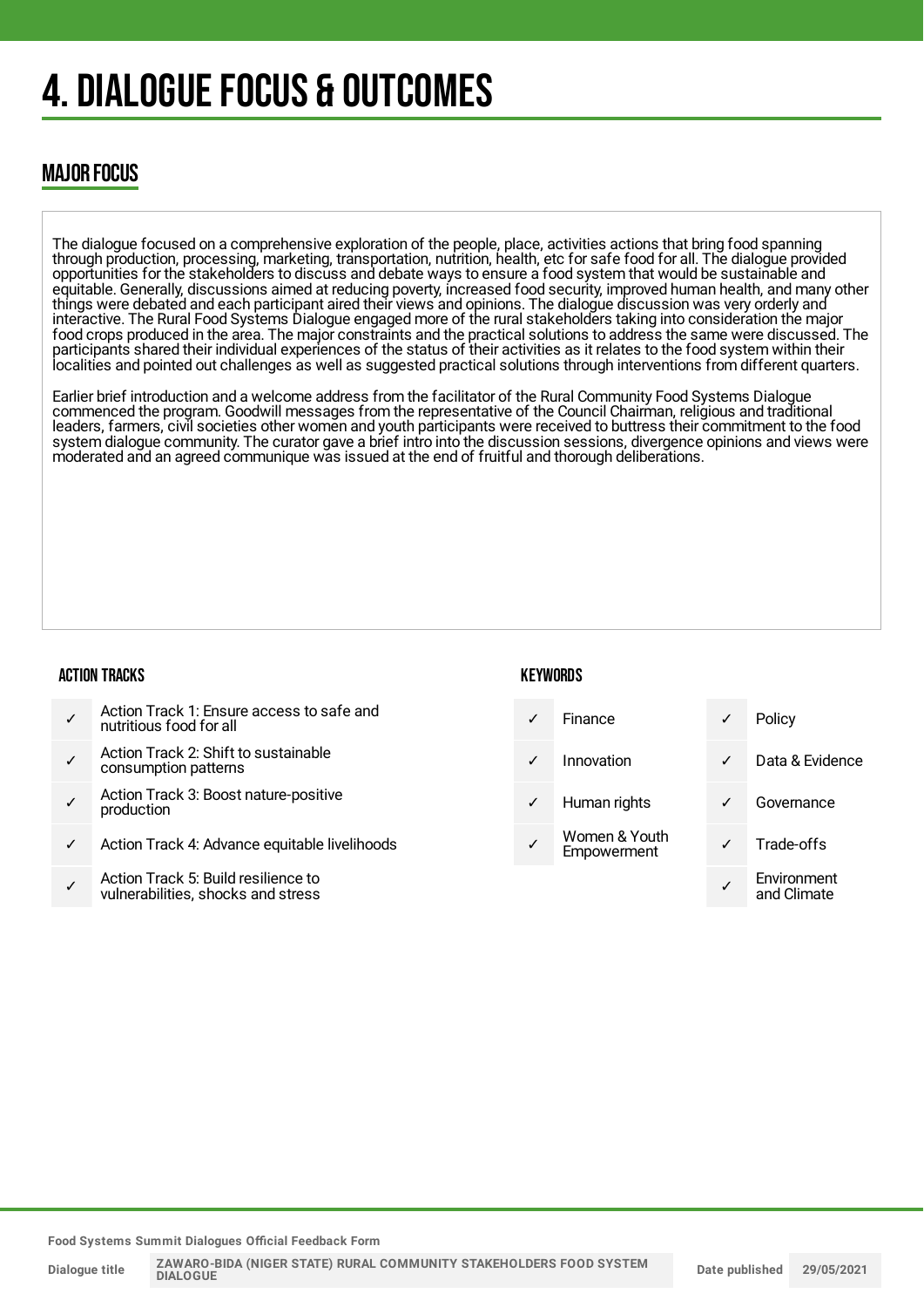## 4. DIALOGUE FOCUS & OUTCOMES

### MAJOR FOCUS

The dialogue focused on a comprehensive exploration of the people, place, activities actions that bring food spanning through production, processing, marketing, transportation, nutrition, health, etc for safe food for all. The dialogue provided opportunities for the stakeholders to discuss and debate ways to ensure a food system that would be sustainable and equitable. Generally, discussions aimed at reducing poverty, increased food security, improved human health, and many other things were debated and each participant aired their views and opinions. The dialogue discussion was very orderly and interactive. The Rural Food Systems Dialogue engaged more of the rural stakeholders taking into consideration the major food crops produced in the area. The major constraints and the practical solutions to address the same were discussed. The participants shared their individual experiences of the status of their activities as it relates to the food system within their localities and pointed out challenges as well as suggested practical solutions through interventions from different quarters.

Earlier brief introduction and a welcome address from the facilitator of the Rural Community Food Systems Dialogue commenced the program. Goodwill messages from the representative of the Council Chairman, religious and traditional leaders, farmers, civil societies other women and youth participants were received to buttress their commitment to the food system dialogue community. The curator gave a brief intro into the discussion sessions, divergence opinions and views were moderated and an agreed communique was issued at the end of fruitful and thorough deliberations.

#### ACTION TRACKS

#### **KFYWORDS**

|  | Action Track 1: Ensure access to safe and<br>nutritious food for all |
|--|----------------------------------------------------------------------|
|--|----------------------------------------------------------------------|

- ✓ Action Track 2: Shift to sustainable consumption patterns
- ✓ Action Track 3: Boost nature-positive production
- Action Track 4: Advance equitable livelihoods
- ✓ Action Track 5: Build resilience to vulnerabilities, shocks and stress

Finance **v** Policy Innovation **√** Data & Evidence Human rights **v** Governance Women & Youth Women & Toum<br>Empowerment V Trade-offs ✓ **Environment** and Climate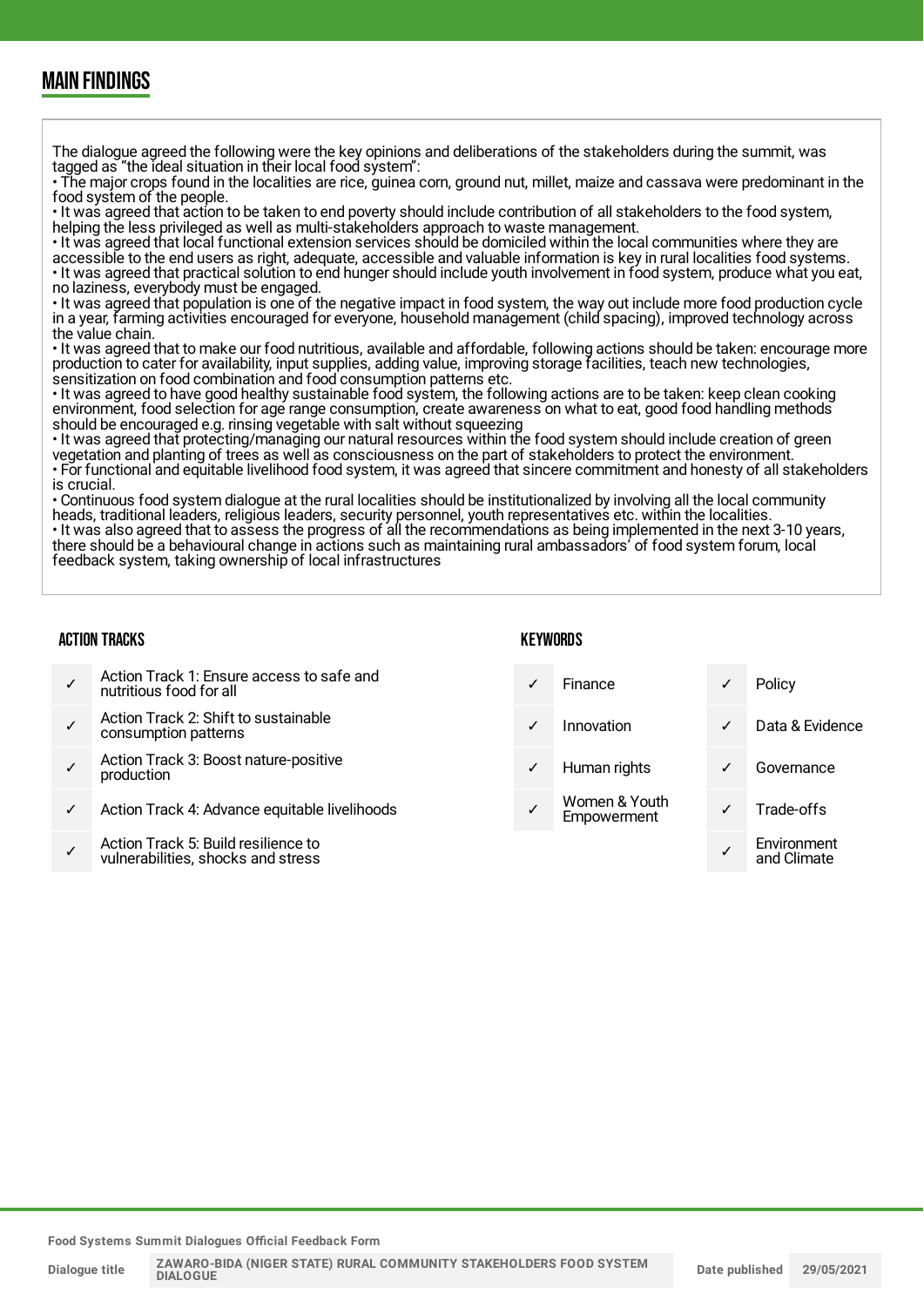### MAIN FINDINGS

The dialogue agreed the following were the key opinions and deliberations of the stakeholders during the summit, was tagged as "the ideal situation in their local food system": • The major crops found in the localities are rice, guinea corn, ground nut, millet, maize and cassava were predominant in the food system of the people. • It was agreed that action to be taken to end poverty should include contribution of all stakeholders to the food system, helping the less privileged as well as multi-stakeholders approach to waste management. • It was agreed that local functional extension services should be domiciled within the local communities where they are accessible to the end users as right, adequate, accessible and valuable information is key in rural localities food systems. • It was agreed that practical solution to end hunger should include youth involvement in food system, produce what you eat, no laziness, everybody must be engaged. • It was agreed that population is one of the negative impact in food system, the way out include more food production cycle in a year, farming activities encouraged for everyone, household management (child spacing), improved technology across the value chain. • It was agreed that to make our food nutritious, available and affordable, following actions should be taken: encourage more

production to cater for availability, input supplies, adding value, improving storage facilities, teach new technologies, sensitization on food combination and food consumption patterns etc.

• It was agreed to have good healthy sustainable food system, the following actions are to be taken: keep clean cooking environment, food selection for age range consumption, create awareness on what to eat, good food handling methods should be encouraged e.g. rinsing vegetable with salt without squeezing

• It was agreed that protecting/managing our natural resources within the food system should include creation of green vegetation and planting of trees as well as consciousness on the part of stakeholders to protect the environment. • For functional and equitable livelihood food system, it was agreed that sincere commitment and honesty of all stakeholders is crucial.

• Continuous food system dialogue at the rural localities should be institutionalized by involving all the local community heads, traditional leaders, religious leaders, security personnel, youth representatives etc. within the localities. • It was also agreed that to assess the progress of all the recommendations as being implemented in the next 3-10 years, there should be a behavioural change in actions such as maintaining rural ambassadors' of food system forum, local feedback system, taking ownership of local infrastructures

#### ACTION TRACKS

#### **KFYWORDS**

|              | Action Track 1: Ensure access to safe and<br>nutritious food for all      | ✓ | <b>Finance</b>               | Policy                     |
|--------------|---------------------------------------------------------------------------|---|------------------------------|----------------------------|
|              | Action Track 2: Shift to sustainable<br>consumption patterns              | ✓ | Innovation                   | Data & Evidence            |
|              | Action Track 3: Boost nature-positive<br>production                       | ✓ | Human rights                 | Governance                 |
| $\checkmark$ | Action Track 4: Advance equitable livelihoods                             |   | Women & Youth<br>Empowerment | Trade-offs                 |
|              | Action Track 5: Build resilience to<br>vulnerabilities, shocks and stress |   |                              | Environment<br>and Climate |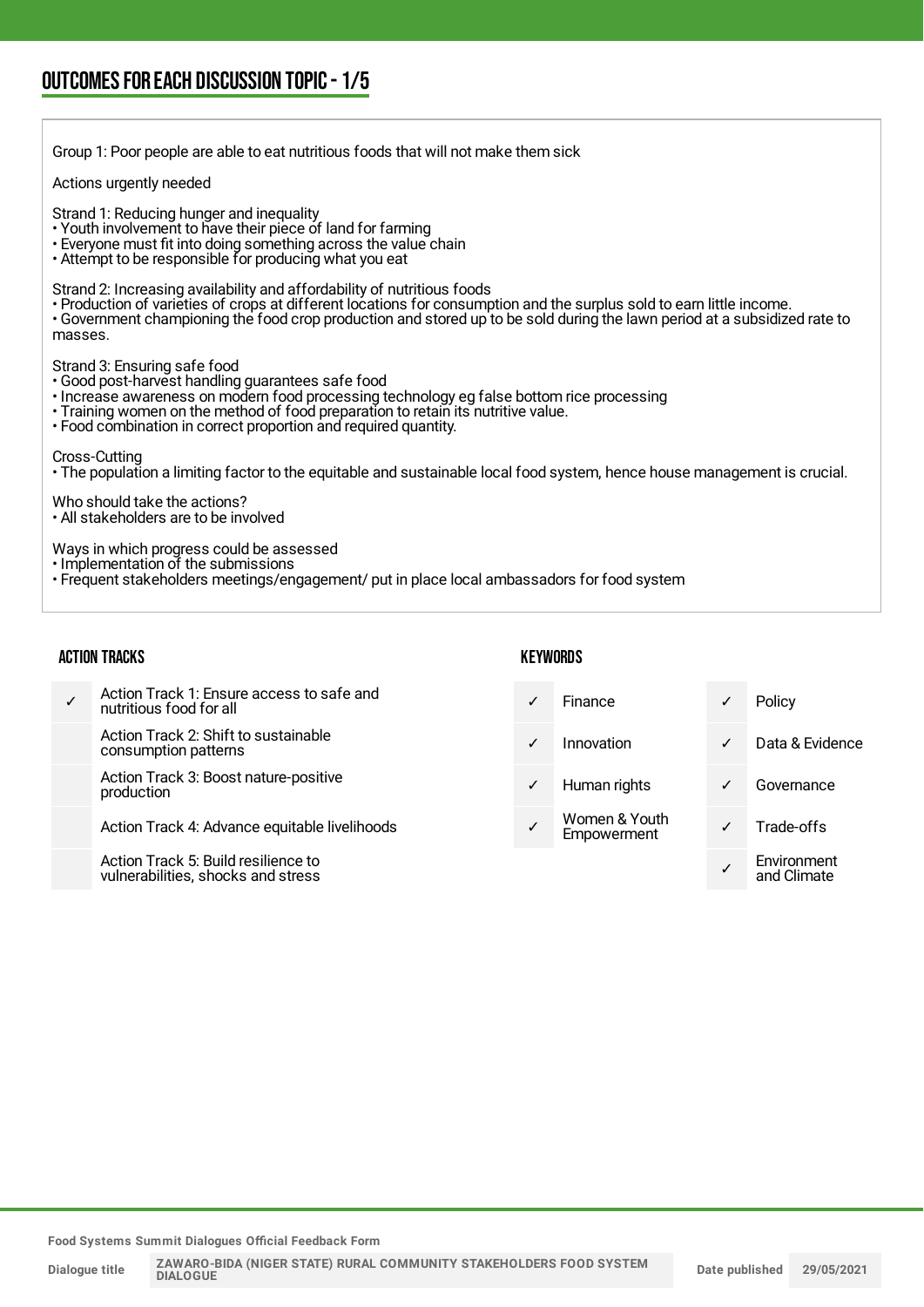| Group 1: Poor people are able to eat nutritious foods that will not make them sick                                                                                                                                                                                                                                                       |
|------------------------------------------------------------------------------------------------------------------------------------------------------------------------------------------------------------------------------------------------------------------------------------------------------------------------------------------|
| Actions urgently needed                                                                                                                                                                                                                                                                                                                  |
| Strand 1: Reducing hunger and inequality<br>• Youth involvement to have their piece of land for farming<br>• Everyone must fit into doing something across the value chain<br>• Attempt to be responsible for producing what you eat                                                                                                     |
| Strand 2: Increasing availability and affordability of nutritious foods<br>• Production of varieties of crops at different locations for consumption and the surplus sold to earn little income.<br>· Government championing the food crop production and stored up to be sold during the lawn period at a subsidized rate to<br>masses. |
| Strand 3: Ensuring safe food<br>· Good post-harvest handling guarantees safe food<br>• Increase awareness on modern food processing technology eg false bottom rice processing<br>• Training women on the method of food preparation to retain its nutritive value.<br>• Food combination in correct proportion and required quantity.   |
| Cross-Cutting<br>• The population a limiting factor to the equitable and sustainable local food system, hence house management is crucial.                                                                                                                                                                                               |
| Who should take the actions?<br>$\cdot$ All stakeholders are to be involved                                                                                                                                                                                                                                                              |
| Ways in which progress could be assessed<br>· Implementation of the submissions<br>• Frequent stakeholders meetings/engagement/ put in place local ambassadors for food system                                                                                                                                                           |

#### ACTION TRACKS

#### **KEYWORDS**

| ✓ | Action Track 1: Ensure access to safe and<br>nutritious food for all      | ✓ | Finance                      |   | Policy                     |
|---|---------------------------------------------------------------------------|---|------------------------------|---|----------------------------|
|   | Action Track 2: Shift to sustainable<br>consumption patterns              | ✓ | Innovation                   | ✓ | Data & Evidence            |
|   | Action Track 3: Boost nature-positive<br>production                       | ✓ | Human rights                 | ✓ | Governance                 |
|   | Action Track 4: Advance equitable livelihoods                             |   | Women & Youth<br>Empowerment |   | Trade-offs                 |
|   | Action Track 5: Build resilience to<br>vulnerabilities, shocks and stress |   |                              |   | Environment<br>and Climate |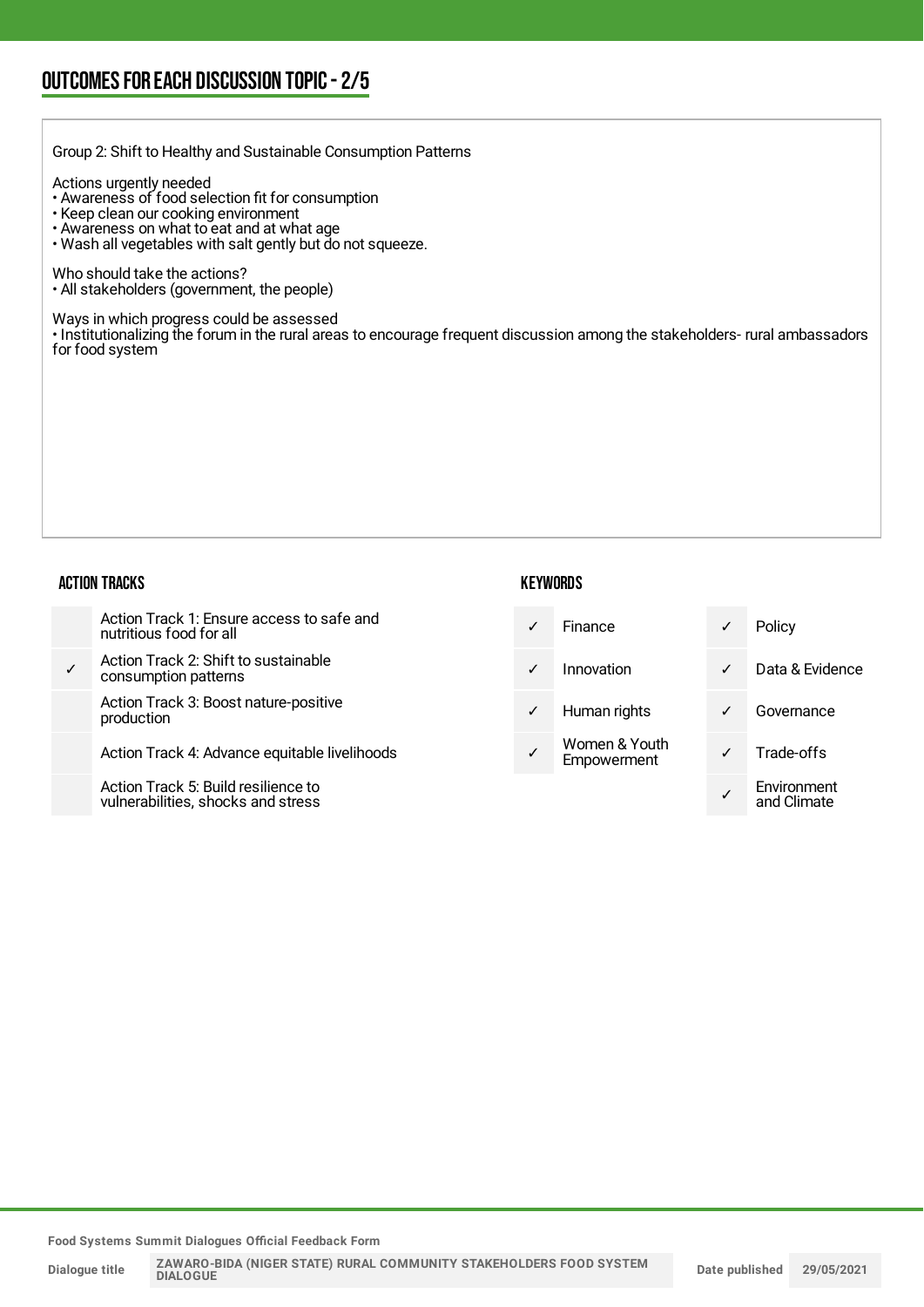Group 2: Shift to Healthy and Sustainable Consumption Patterns

Actions urgently needed

- Awareness of food selection fit for consumption
- Keep clean our cooking environment
- Awareness on what to eat and at what age
- Wash all vegetables with salt gently but do not squeeze.

Who should take the actions?

• All stakeholders (government, the people)

Ways in which progress could be assessed

• Institutionalizing the forum in the rural areas to encourage frequent discussion among the stakeholders- rural ambassadors for food system

#### ACTION TRACKS

| <b>KEYWORDS</b> |
|-----------------|
|-----------------|

| Action Track 1: Ensure access to safe and<br>nutritious food for all     | $\checkmark$ | <b>Finance</b>               | √            | Policy                     |
|--------------------------------------------------------------------------|--------------|------------------------------|--------------|----------------------------|
| Action Track 2: Shift to sustainable<br>consumption patterns             | $\checkmark$ | Innovation                   | $\checkmark$ | Data & Evidence            |
| Action Track 3: Boost nature-positive<br>production                      | $\checkmark$ | Human rights                 | ✓            | Governance                 |
| Action Track 4: Advance equitable livelihoods                            |              | Women & Youth<br>Empowerment | $\checkmark$ | Trade-offs                 |
| Action Track 5: Build resilience to<br>vulnerabilities shocks and stress |              |                              |              | Environment<br>and Climata |

**Food Systems Summit Dialogues Official Feedback Form**

vulnerabilities, shocks and stress

and Climate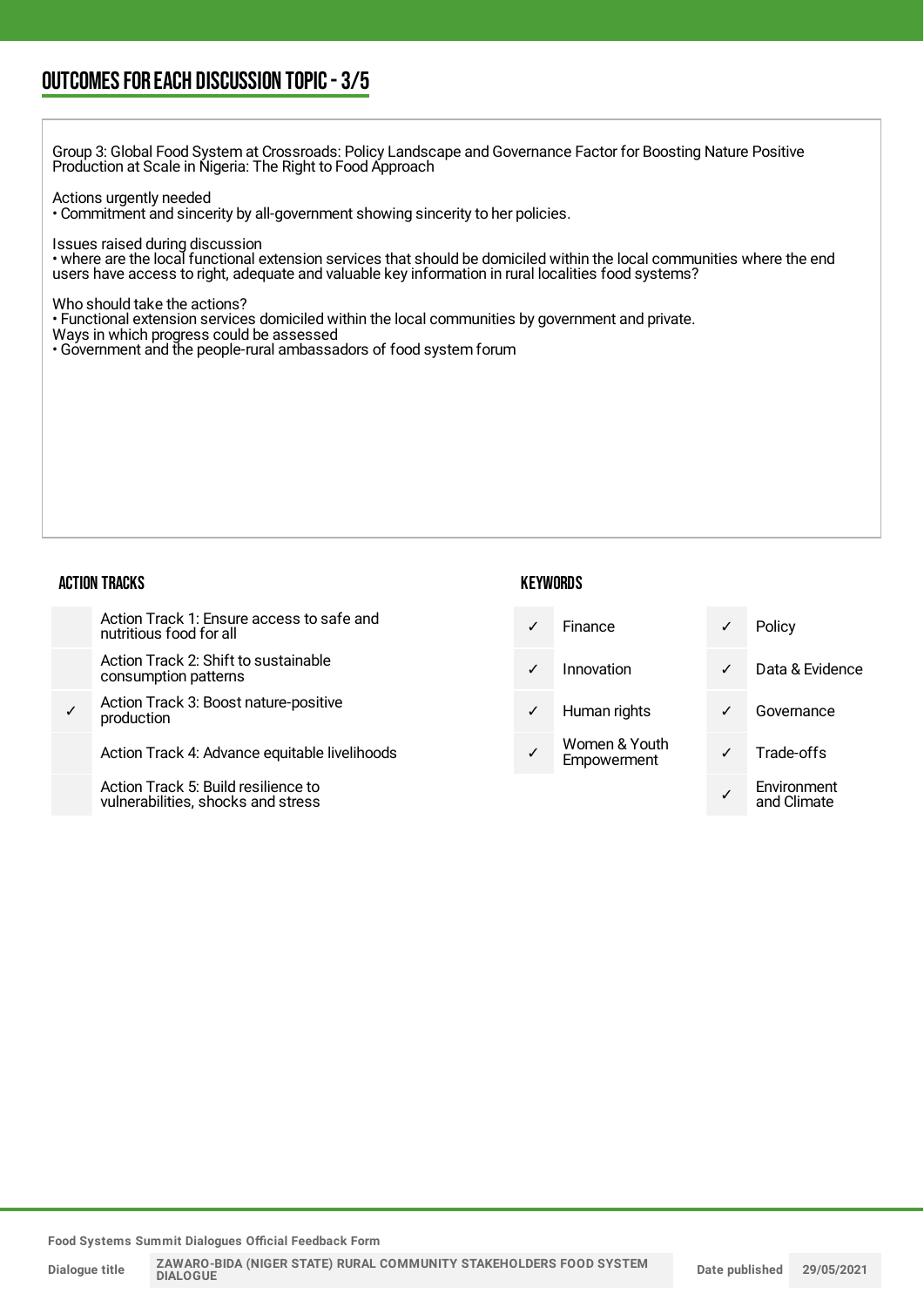### OUTCOMESFOR EACH DISCUSSION TOPIC- 3/5

Group 3: Global Food System at Crossroads: Policy Landscape and Governance Factor for Boosting Nature Positive Production at Scale in Nigeria: The Right to Food Approach

Actions urgently needed

• Commitment and sincerity by all-government showing sincerity to her policies.

Issues raised during discussion

• where are the local functional extension services that should be domiciled within the local communities where the end users have access to right, adequate and valuable key information in rural localities food systems?

Who should take the actions?

• Functional extension services domiciled within the local communities by government and private.

Ways in which progress could be assessed

• Government and the people-rural ambassadors of food system forum

#### ACTION TRACKS

#### **KEYWORDS**

|   | Action Track 1: Ensure access to safe and<br>nutritious food for all     | $\checkmark$ | <b>Finance</b>               | $\checkmark$ | Policy                     |
|---|--------------------------------------------------------------------------|--------------|------------------------------|--------------|----------------------------|
|   | Action Track 2: Shift to sustainable<br>consumption patterns             | $\checkmark$ | Innovation                   | $\checkmark$ | Data & Evidence            |
| ✓ | Action Track 3: Boost nature-positive<br>production                      | $\checkmark$ | Human rights                 | $\checkmark$ | Governance                 |
|   | Action Track 4: Advance equitable livelihoods                            | ✓            | Women & Youth<br>Empowerment | $\checkmark$ | Trade-offs                 |
|   | Action Track 5: Build resilience to<br>vulnerabilities shocks and stress |              |                              |              | Environment<br>and Climata |

**Food Systems Summit Dialogues Official Feedback Form**

vulnerabilities, shocks and stress

and Climate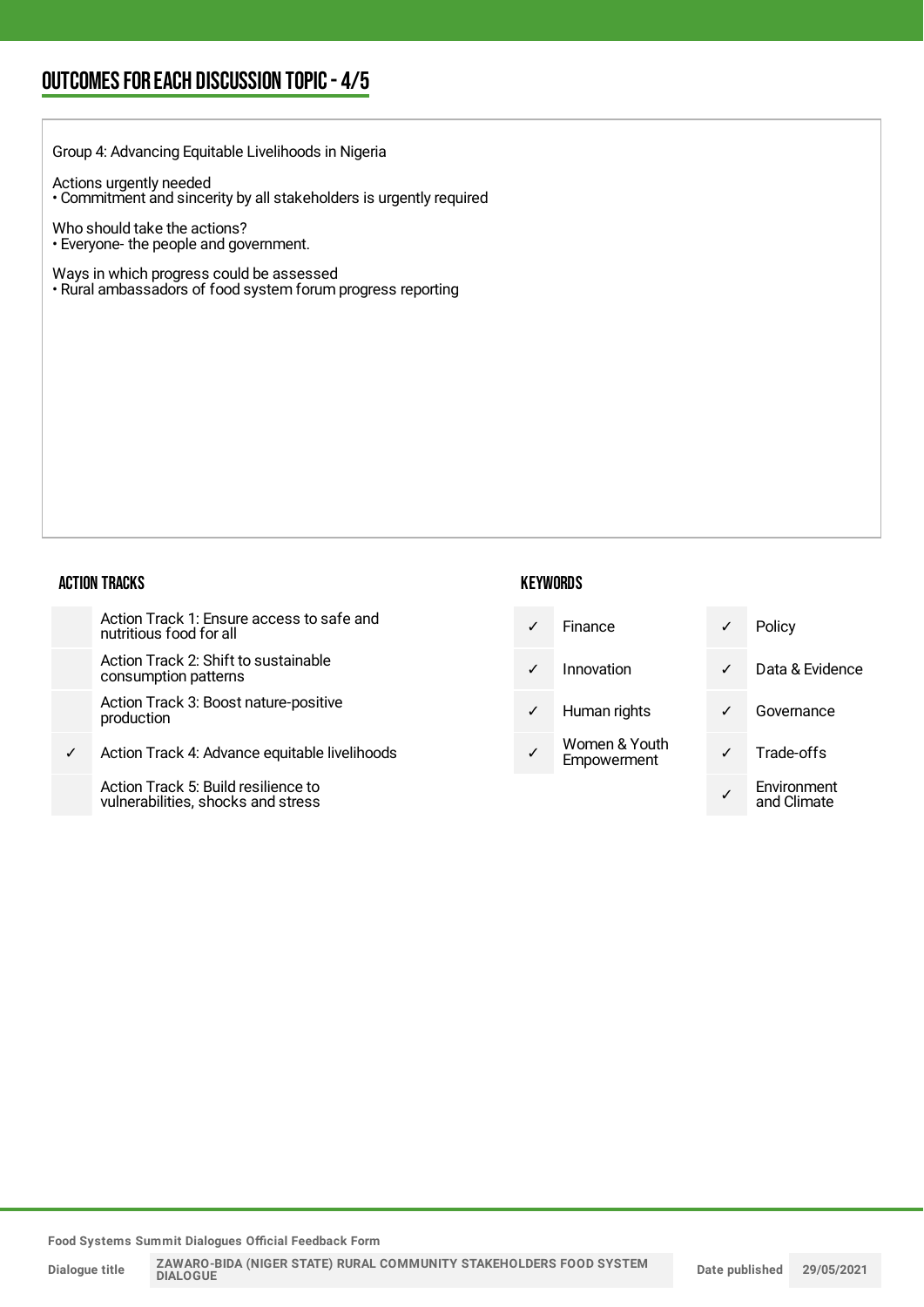## OUTCOMESFOR EACH DISCUSSION TOPIC- 4/5

| Group 4: Advancing Equitable Livelihoods in Nigeria                                                     |              |                 |              |                 |
|---------------------------------------------------------------------------------------------------------|--------------|-----------------|--------------|-----------------|
| Actions urgently needed<br>• Commitment and sincerity by all stakeholders is urgently required          |              |                 |              |                 |
| Who should take the actions?<br>. Everyone-the people and government.                                   |              |                 |              |                 |
| Ways in which progress could be assessed<br>• Rural ambassadors of food system forum progress reporting |              |                 |              |                 |
|                                                                                                         |              |                 |              |                 |
|                                                                                                         |              |                 |              |                 |
|                                                                                                         |              |                 |              |                 |
|                                                                                                         |              |                 |              |                 |
|                                                                                                         |              |                 |              |                 |
|                                                                                                         |              |                 |              |                 |
| <b>ACTION TRACKS</b>                                                                                    |              | <b>KEYWORDS</b> |              |                 |
|                                                                                                         |              |                 |              |                 |
| Action Track 1: Ensure access to safe and<br>nutritious food for all                                    | $\checkmark$ | Finance         | $\checkmark$ | Policy          |
| Action Track 2: Shift to sustainable<br>consumption patterns                                            | $\checkmark$ | Innovation      | $\checkmark$ | Data & Evidence |

✓ Action Track 4: Advance equitable livelihoods

Action Track 5: Build resilience to vulnerabilities, shocks and stress

|              | ו וווסווטכ                   |              | <b>I VIIVY</b> |
|--------------|------------------------------|--------------|----------------|
| $\checkmark$ | Innovation                   | $\checkmark$ | Data & Evid    |
| $\checkmark$ | Human rights                 |              | Governanc      |
|              | Women & Youth<br>Empowerment | $\checkmark$ | Trade-offs     |

| POIICY                     |
|----------------------------|
| Data & Evidence            |
| Governance                 |
| Trade-offs                 |
| Environment<br>and Climate |

**Food Systems Summit Dialogues Official Feedback Form**

**Dialogue title**

**ZAWARO-BIDA (NIGER STATE) RURAL COMMUNITY STAKEHOLDERS FOOD SYSTEM DIALOGUE**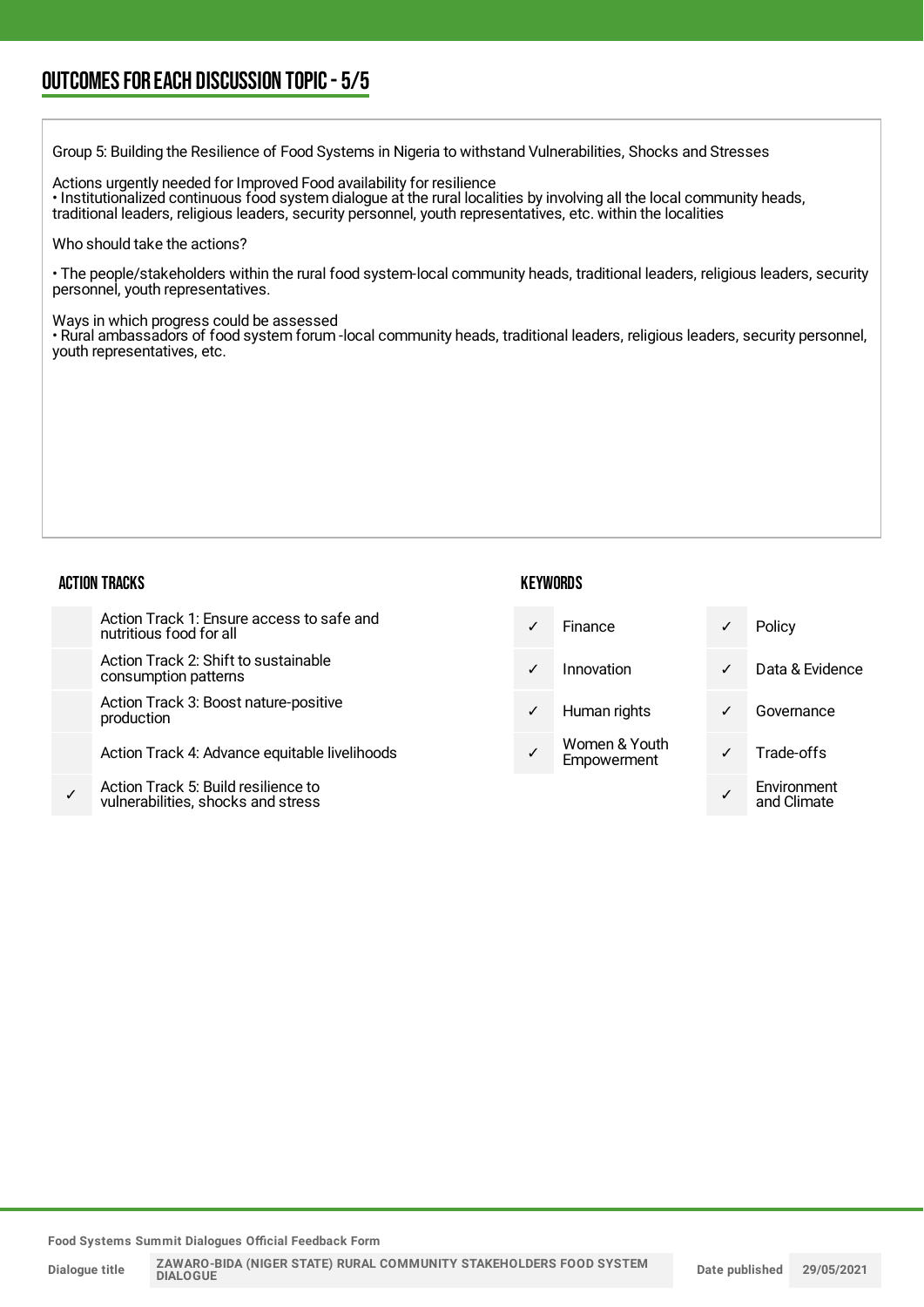### OUTCOMESFOR EACH DISCUSSION TOPIC- 5/5

Group 5: Building the Resilience of Food Systems in Nigeria to withstand Vulnerabilities, Shocks and Stresses

Actions urgently needed for Improved Food availability for resilience • Institutionalized continuous food system dialogue at the rural localities by involving all the local community heads, traditional leaders, religious leaders, security personnel, youth representatives, etc. within the localities

Who should take the actions?

• The people/stakeholders within the rural food system-local community heads, traditional leaders, religious leaders, security personnel, youth representatives.

Ways in which progress could be assessed

• Rural ambassadors of food system forum -local community heads, traditional leaders, religious leaders, security personnel, youth representatives, etc.

#### ACTION TRACKS

#### **KEYWORDS**

|   | Action Track 1: Ensure access to safe and<br>nutritious food for all     | ✓            | <b>Finance</b>               | ✓            | Policy                     |
|---|--------------------------------------------------------------------------|--------------|------------------------------|--------------|----------------------------|
|   | Action Track 2: Shift to sustainable<br>consumption patterns             | $\checkmark$ | Innovation                   | $\checkmark$ | Data & Evidence            |
|   | Action Track 3: Boost nature-positive<br>production                      | ✓            | Human rights                 | $\checkmark$ | Governance                 |
|   | Action Track 4: Advance equitable livelihoods                            | ✓            | Women & Youth<br>Empowerment | ✓            | Trade-offs                 |
| ✓ | Action Track 5: Build resilience to<br>vulnerabilities shocks and stress |              |                              |              | Environment<br>and Climata |

**Food Systems Summit Dialogues Official Feedback Form**

vulnerabilities, shocks and stress

and Climate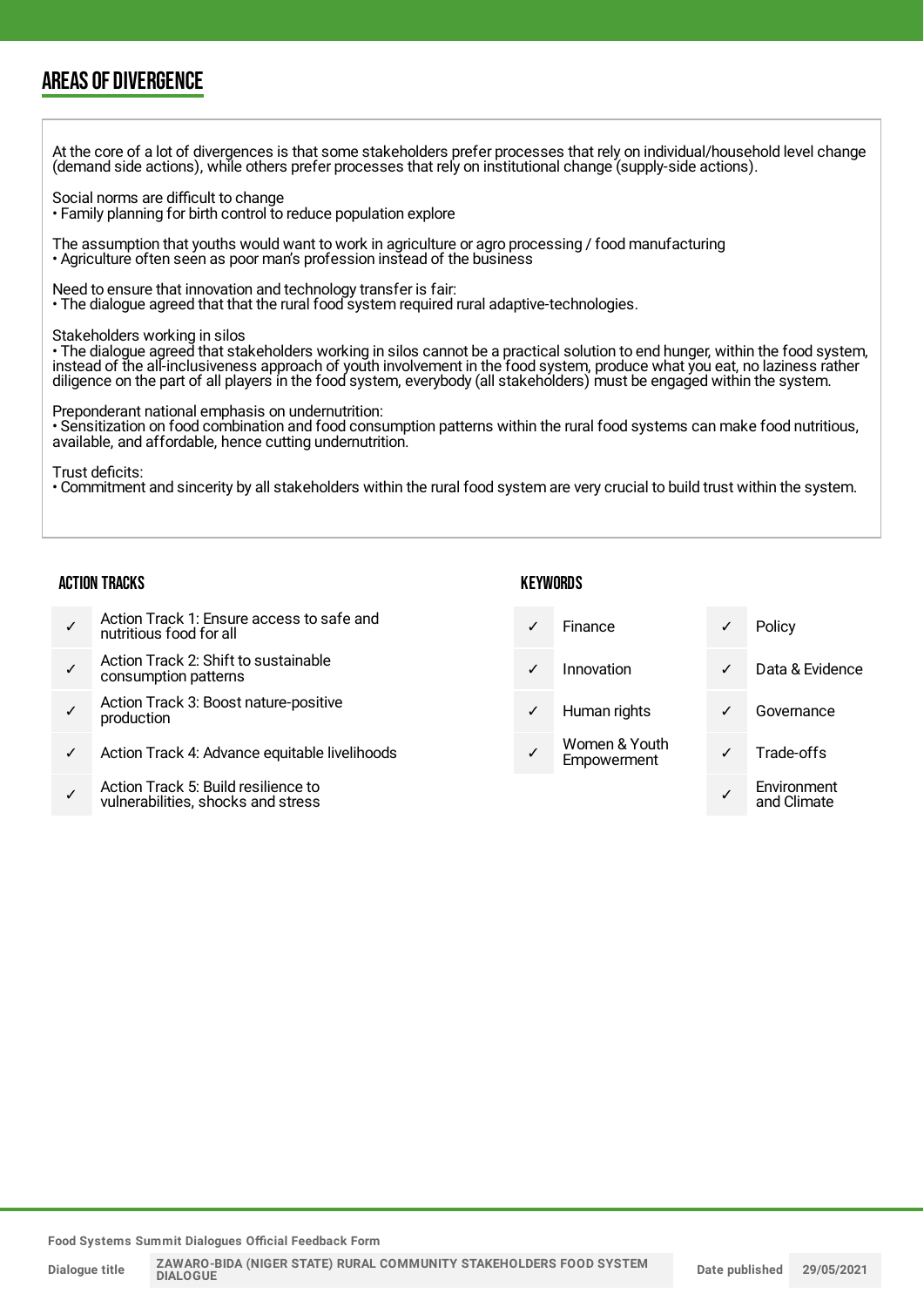### AREAS OF DIVERGENCE

At the core of a lot of divergences is that some stakeholders prefer processes that rely on individual/household level change (demand side actions), while others prefer processes that rely on institutional change (supply-side actions). Social norms are difficult to change • Family planning for birth control to reduce population explore The assumption that youths would want to work in agriculture or agro processing / food manufacturing • Agriculture often seen as poor man's profession instead of the business Need to ensure that innovation and technology transfer is fair: • The dialogue agreed that that the rural food system required rural adaptive-technologies. Stakeholders working in silos • The dialogue agreed that stakeholders working in silos cannot be a practical solution to end hunger, within the food system, instead of the all-inclusiveness approach of youth involvement in the food system, produce what you eat, no laziness rather diligence on the part of all players in the food system, everybody (all stakeholders) must be engaged within the system. Preponderant national emphasis on undernutrition: • Sensitization on food combination and food consumption patterns within the rural food systems can make food nutritious, available, and affordable, hence cutting undernutrition. Trust deficits: • Commitment and sincerity by all stakeholders within the rural food system are very crucial to build trust within the system. ACTION TRACKS ✓ Action Track 1: Ensure access to safe and nutritious food for all **KEYWORDS** ✓ Finance ✓ Policy

- ✓ Action Track 2: Shift to sustainable consumption patterns
- ✓ Action Track 3: Boost nature-positive production
- Action Track 4: Advance equitable livelihoods
- ✓ Action Track 5: Build resilience to vulnerabilities, shocks and stress

| $\checkmark$ | Finance                      |   | Policy          |
|--------------|------------------------------|---|-----------------|
| $\checkmark$ | Innovation                   | ✓ | Data & Evidence |
| $\checkmark$ | Human rights                 |   | Governance      |
| $\checkmark$ | Women & Youth<br>Empowerment |   | Trade-offs      |
|              |                              |   | Environment     |

- ✓ Women & Youth
- ✓ Environment and Climate